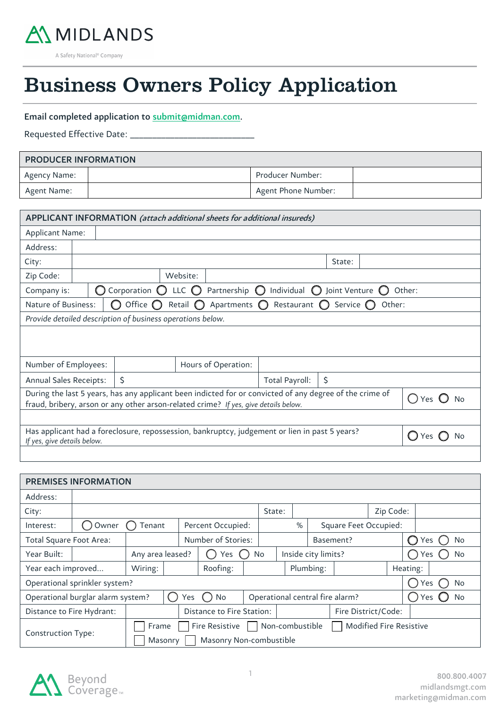

A Safety National<sup>®</sup> Company 55

# Business Owners Policy Application

## Email completed application to submit@midman.com.

Requested Effective Date: \_\_

 $\overline{a}$ 

| <b>PRODUCER INFORMATION</b> |  |                     |  |  |  |
|-----------------------------|--|---------------------|--|--|--|
| Agency Name:                |  | Producer Number:    |  |  |  |
| Agent Name:                 |  | Agent Phone Number: |  |  |  |

| APPLICANT INFORMATION (attach additional sheets for additional insureds)                                                                                                                                                |                                                                                                                                           |                                                            |                   |                        |                       |                    |        |        |
|-------------------------------------------------------------------------------------------------------------------------------------------------------------------------------------------------------------------------|-------------------------------------------------------------------------------------------------------------------------------------------|------------------------------------------------------------|-------------------|------------------------|-----------------------|--------------------|--------|--------|
| <b>Applicant Name:</b>                                                                                                                                                                                                  |                                                                                                                                           |                                                            |                   |                        |                       |                    |        |        |
| Address:                                                                                                                                                                                                                |                                                                                                                                           |                                                            |                   |                        |                       |                    |        |        |
| City:                                                                                                                                                                                                                   |                                                                                                                                           |                                                            |                   |                        |                       | State:             |        |        |
| Zip Code:                                                                                                                                                                                                               |                                                                                                                                           |                                                            | Website:          |                        |                       |                    |        |        |
| Company is:                                                                                                                                                                                                             |                                                                                                                                           | Corporation $\bigcirc$                                     | LLC $\bigcirc$    | Partnership $\bigcirc$ | Individual $\bigcirc$ | Joint Venture      |        | Other: |
| Nature of Business:                                                                                                                                                                                                     |                                                                                                                                           | Office $\bigcirc$                                          | Retail $\bigcirc$ | Apartments $\bigcirc$  | Restaurant $\bigcirc$ | Service $\bigcirc$ | Other: |        |
|                                                                                                                                                                                                                         |                                                                                                                                           | Provide detailed description of business operations below. |                   |                        |                       |                    |        |        |
|                                                                                                                                                                                                                         |                                                                                                                                           |                                                            |                   |                        |                       |                    |        |        |
| Number of Employees:                                                                                                                                                                                                    |                                                                                                                                           |                                                            |                   | Hours of Operation:    |                       |                    |        |        |
| <b>Annual Sales Receipts:</b>                                                                                                                                                                                           |                                                                                                                                           | \$                                                         |                   |                        | Total Payroll:        | $\zeta$            |        |        |
| During the last 5 years, has any applicant been indicted for or convicted of any degree of the crime of<br>Yes $\mathbb O$<br>No<br>fraud, bribery, arson or any other arson-related crime? If yes, give details below. |                                                                                                                                           |                                                            |                   |                        |                       |                    |        |        |
|                                                                                                                                                                                                                         |                                                                                                                                           |                                                            |                   |                        |                       |                    |        |        |
|                                                                                                                                                                                                                         | Has applicant had a foreclosure, repossession, bankruptcy, judgement or lien in past 5 years?<br>No<br>Yes<br>If yes, give details below. |                                                            |                   |                        |                       |                    |        |        |
|                                                                                                                                                                                                                         |                                                                                                                                           |                                                            |                   |                        |                       |                    |        |        |

| <b>PREMISES INFORMATION</b> |                                                                                                            |                                                                                                                    |  |  |    |                     |           |  |          |                       |           |  |  |                  |
|-----------------------------|------------------------------------------------------------------------------------------------------------|--------------------------------------------------------------------------------------------------------------------|--|--|----|---------------------|-----------|--|----------|-----------------------|-----------|--|--|------------------|
| Address:                    |                                                                                                            |                                                                                                                    |  |  |    |                     |           |  |          |                       |           |  |  |                  |
| City:                       | Zip Code:<br>State:                                                                                        |                                                                                                                    |  |  |    |                     |           |  |          |                       |           |  |  |                  |
| Interest:                   | Percent Occupied:<br>Owner<br>Tenant                                                                       |                                                                                                                    |  |  |    |                     |           |  | %        | Square Feet Occupied: |           |  |  |                  |
| Total Square Foot Area:     |                                                                                                            | Number of Stories:                                                                                                 |  |  |    |                     | Basement? |  |          |                       | No<br>Yes |  |  |                  |
| Year Built:                 |                                                                                                            | Any area leased?<br>Yes ()                                                                                         |  |  | No | Inside city limits? |           |  |          | No<br>Yes             |           |  |  |                  |
| Year each improved          |                                                                                                            | Roofing:<br>Wiring:                                                                                                |  |  |    | Plumbing:           |           |  | Heating: |                       |           |  |  |                  |
|                             | Operational sprinkler system?                                                                              |                                                                                                                    |  |  |    |                     |           |  |          |                       |           |  |  | No<br><b>Yes</b> |
|                             | Operational burglar alarm system?<br>Operational central fire alarm?<br><b>No</b><br>Yes $()$<br>No<br>Yes |                                                                                                                    |  |  |    |                     |           |  |          |                       |           |  |  |                  |
| Distance to Fire Hydrant:   |                                                                                                            | Fire District/Code:<br>Distance to Fire Station:                                                                   |  |  |    |                     |           |  |          |                       |           |  |  |                  |
| <b>Construction Type:</b>   |                                                                                                            | Modified Fire Resistive<br>Non-combustible<br><b>Fire Resistive</b><br>Frame<br>Masonry Non-combustible<br>Masonry |  |  |    |                     |           |  |          |                       |           |  |  |                  |

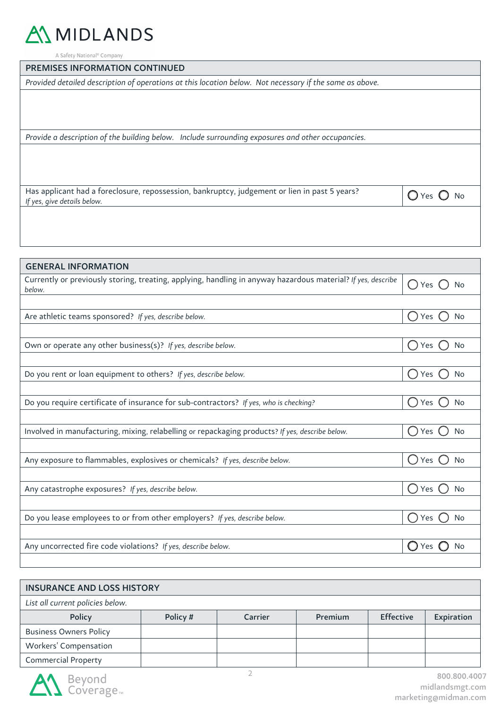

A Safety National<sup>®</sup> Company

### PREMISES INFORMATION CONTINUED

*Provided detailed description of operations at this location below. Not necessary if the same as above.*

*Provide a description of the building below. Include surrounding exposures and other occupancies.*

Has applicant had a foreclosure, repossession, bankruptcy, judgement or lien in past 5 years?<br>*If yes, give details below.* 

| <b>GENERAL INFORMATION</b>                                                                                             |                                                                   |
|------------------------------------------------------------------------------------------------------------------------|-------------------------------------------------------------------|
| Currently or previously storing, treating, applying, handling in anyway hazardous material? If yes, describe<br>below. | $\bigcirc$ Yes<br><b>No</b>                                       |
|                                                                                                                        |                                                                   |
| Are athletic teams sponsored? If yes, describe below.                                                                  | () Yes<br><b>No</b>                                               |
|                                                                                                                        |                                                                   |
| Own or operate any other business(s)? If yes, describe below.                                                          | Yes<br>No                                                         |
|                                                                                                                        |                                                                   |
| Do you rent or loan equipment to others? If yes, describe below.                                                       | Yes<br>$\left( \begin{array}{c} \end{array} \right)$<br>No        |
|                                                                                                                        |                                                                   |
| Do you require certificate of insurance for sub-contractors? If yes, who is checking?                                  | Yes<br><b>No</b>                                                  |
|                                                                                                                        |                                                                   |
| Involved in manufacturing, mixing, relabelling or repackaging products? If yes, describe below.                        | $\left( \begin{array}{c} \end{array} \right)$<br>Yes<br><b>No</b> |
|                                                                                                                        |                                                                   |
| Any exposure to flammables, explosives or chemicals? If yes, describe below.                                           | $\left( \begin{array}{c} 1 \end{array} \right)$<br>Yes<br>No      |
|                                                                                                                        |                                                                   |
| Any catastrophe exposures? If yes, describe below.                                                                     | Yes<br>No                                                         |
|                                                                                                                        |                                                                   |
| Do you lease employees to or from other employers? If yes, describe below.                                             | $(\ )$<br>Yes<br>No                                               |
|                                                                                                                        |                                                                   |
| Any uncorrected fire code violations? If yes, describe below.                                                          | Yes<br>No                                                         |
|                                                                                                                        |                                                                   |

| <b>INSURANCE AND LOSS HISTORY</b>                                                                                                                                                                                                                                                                                                                                                                                                                                                          |          |                |         |                  |            |  |
|--------------------------------------------------------------------------------------------------------------------------------------------------------------------------------------------------------------------------------------------------------------------------------------------------------------------------------------------------------------------------------------------------------------------------------------------------------------------------------------------|----------|----------------|---------|------------------|------------|--|
| List all current policies below.                                                                                                                                                                                                                                                                                                                                                                                                                                                           |          |                |         |                  |            |  |
| <b>Policy</b>                                                                                                                                                                                                                                                                                                                                                                                                                                                                              | Policy # | <b>Carrier</b> | Premium | <b>Effective</b> | Expiration |  |
| <b>Business Owners Policy</b>                                                                                                                                                                                                                                                                                                                                                                                                                                                              |          |                |         |                  |            |  |
| Workers' Compensation                                                                                                                                                                                                                                                                                                                                                                                                                                                                      |          |                |         |                  |            |  |
| <b>Commercial Property</b>                                                                                                                                                                                                                                                                                                                                                                                                                                                                 |          |                |         |                  |            |  |
| $\blacksquare$ $\blacksquare$ $\blacksquare$ $\blacksquare$ $\blacksquare$ $\blacksquare$ $\blacksquare$ $\blacksquare$ $\blacksquare$ $\blacksquare$ $\blacksquare$ $\blacksquare$ $\blacksquare$ $\blacksquare$ $\blacksquare$ $\blacksquare$ $\blacksquare$ $\blacksquare$ $\blacksquare$ $\blacksquare$ $\blacksquare$ $\blacksquare$ $\blacksquare$ $\blacksquare$ $\blacksquare$ $\blacksquare$ $\blacksquare$ $\blacksquare$ $\blacksquare$ $\blacksquare$ $\blacksquare$ $\blacks$ |          |                |         |                  |            |  |

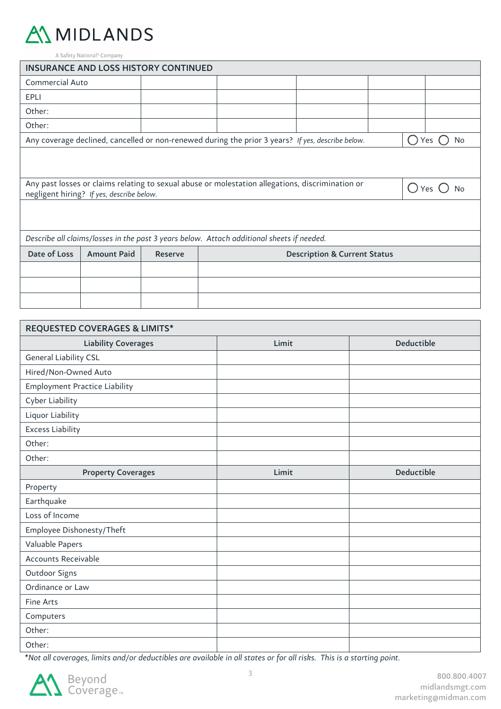

A Safety National<sup>®</sup> Company

| <b>INSURANCE AND LOSS HISTORY CONTINUED</b> |                                                                                 |  |  |                                                                                                   |  |  |               |           |
|---------------------------------------------|---------------------------------------------------------------------------------|--|--|---------------------------------------------------------------------------------------------------|--|--|---------------|-----------|
| <b>Commercial Auto</b>                      |                                                                                 |  |  |                                                                                                   |  |  |               |           |
| EPLI                                        |                                                                                 |  |  |                                                                                                   |  |  |               |           |
| Other:                                      |                                                                                 |  |  |                                                                                                   |  |  |               |           |
| Other:                                      |                                                                                 |  |  |                                                                                                   |  |  |               |           |
|                                             |                                                                                 |  |  | Any coverage declined, cancelled or non-renewed during the prior 3 years? If yes, describe below. |  |  | ( 1           | Yes<br>No |
|                                             |                                                                                 |  |  |                                                                                                   |  |  |               |           |
|                                             |                                                                                 |  |  |                                                                                                   |  |  |               |           |
|                                             | negligent hiring? If yes, describe below.                                       |  |  | Any past losses or claims relating to sexual abuse or molestation allegations, discrimination or  |  |  | $\bigcap$ Yes |           |
|                                             |                                                                                 |  |  |                                                                                                   |  |  |               |           |
|                                             |                                                                                 |  |  |                                                                                                   |  |  |               |           |
|                                             |                                                                                 |  |  | Describe all claims/losses in the past 3 years below. Attach additional sheets if needed.         |  |  |               |           |
| Date of Loss                                | <b>Amount Paid</b><br><b>Description &amp; Current Status</b><br><b>Reserve</b> |  |  |                                                                                                   |  |  |               |           |
|                                             |                                                                                 |  |  |                                                                                                   |  |  |               |           |
|                                             |                                                                                 |  |  |                                                                                                   |  |  |               |           |
|                                             |                                                                                 |  |  |                                                                                                   |  |  |               |           |

| <b>REQUESTED COVERAGES &amp; LIMITS*</b> |       |                   |
|------------------------------------------|-------|-------------------|
| <b>Liability Coverages</b>               | Limit | <b>Deductible</b> |
| General Liability CSL                    |       |                   |
| Hired/Non-Owned Auto                     |       |                   |
| <b>Employment Practice Liability</b>     |       |                   |
| Cyber Liability                          |       |                   |
| Liquor Liability                         |       |                   |
| <b>Excess Liability</b>                  |       |                   |
| Other:                                   |       |                   |
| Other:                                   |       |                   |
| <b>Property Coverages</b>                | Limit | <b>Deductible</b> |
| Property                                 |       |                   |
| Earthquake                               |       |                   |
| Loss of Income                           |       |                   |
| Employee Dishonesty/Theft                |       |                   |
| Valuable Papers                          |       |                   |
| Accounts Receivable                      |       |                   |
| Outdoor Signs                            |       |                   |
| Ordinance or Law                         |       |                   |
| Fine Arts                                |       |                   |
| Computers                                |       |                   |
| Other:                                   |       |                   |
| Other:                                   |       |                   |

*\*Not all coverages, limits and/or deductibles are available in all states or for all risks. This is a starting point.*